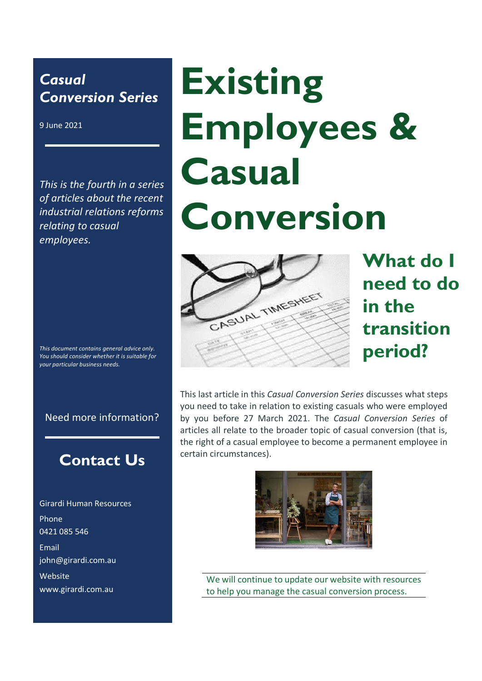## *Casual Conversion Series*

9 June 2021

*This is the fourth in a series of articles about the recent industrial relations reforms relating to casual employees.* 

*This document contains general advice only. You should consider whether it is suitable for your particular business needs.* 

#### Need more information?

# **Contact Us**

Girardi Human Resources Phone 0421 085 546 Email john@girardi.com.au Website www.girardi.com.au

# **Existing Employees & Casual Conversion**



**What do I need to do in the transition period?** 

This last article in this *Casual Conversion Series* discusses what steps you need to take in relation to existing casuals who were employed by you before 27 March 2021. The *Casual Conversion Series* of articles all relate to the broader topic of casual conversion (that is, the right of a casual employee to become a permanent employee in certain circumstances).



We will continue to update our website with resources to help you manage the casual conversion process.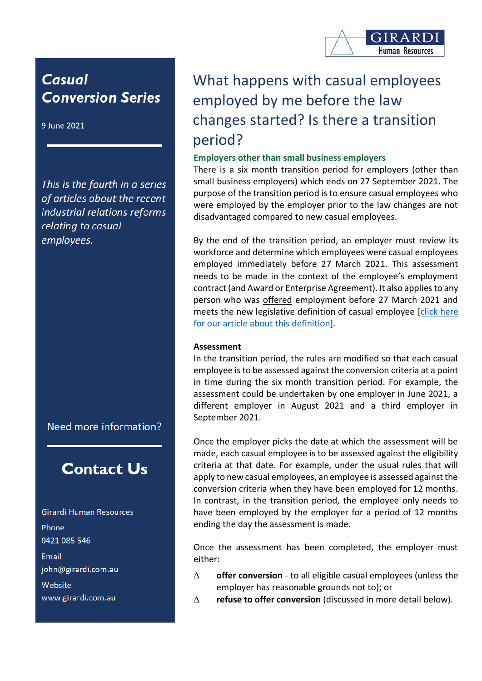

## **Casual Conversion Series**

9 June 2021

This is the fourth in a series of articles about the recent industrial relations reforms relating to casual employees.

Need more information?

## **Contact Us**

Girardi Human Resources Phone 0421 085 546 Email john@girardi.com.au Website www.girardi.com.au

# What happens with casual employees employed by me before the law changes started? Is there a transition period?

#### **Employers other than small business employers**

There is a six month transition period for employers (other than small business employers) which ends on 27 September 2021. The purpose of the transition period is to ensure casual employees who were employed by the employer prior to the law changes are not disadvantaged compared to new casual employees.

By the end of the transition period, an employer must review its workforce and determine which employees were casual employees employed immediately before 27 March 2021. This assessment needs to be made in the context of the employee's employment contract (and Award or Enterprise Agreement). It also applies to any person who was offered employment before 27 March 2021 and meets the new legislative definition of casual employee [\[click here](https://www.girardi.com.au/is-my-employee-a-casual-employee-under-the-new-legislative-definition/)  [for our article about this definition\]](https://www.girardi.com.au/is-my-employee-a-casual-employee-under-the-new-legislative-definition/).

#### **Assessment**

In the transition period, the rules are modified so that each casual employee is to be assessed against the conversion criteria at a point in time during the six month transition period. For example, the assessment could be undertaken by one employer in June 2021, a different employer in August 2021 and a third employer in September 2021.

Once the employer picks the date at which the assessment will be made, each casual employee is to be assessed against the eligibility criteria at that date. For example, under the usual rules that will apply to new casual employees, an employee is assessed against the conversion criteria when they have been employed for 12 months. In contrast, in the transition period, the employee only needs to have been employed by the employer for a period of 12 months ending the day the assessment is made.

Once the assessment has been completed, the employer must either:

- **offer conversion** to all eligible casual employees (unless the employer has reasonable grounds not to); or
- **refuse to offer conversion** (discussed in more detail below).